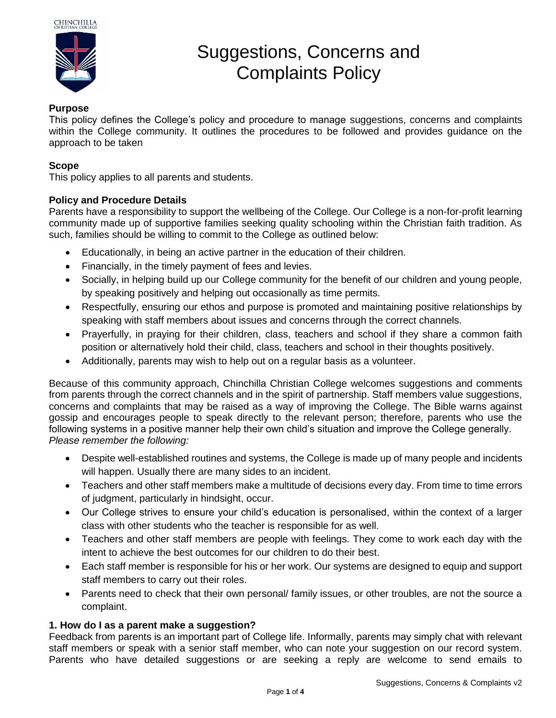

# Suggestions, Concerns and Complaints Policy

## **Purpose**

This policy defines the College's policy and procedure to manage suggestions, concerns and complaints within the College community. It outlines the procedures to be followed and provides guidance on the approach to be taken

# **Scope**

This policy applies to all parents and students.

# **Policy and Procedure Details**

Parents have a responsibility to support the wellbeing of the College. Our College is a non-for-profit learning community made up of supportive families seeking quality schooling within the Christian faith tradition. As such, families should be willing to commit to the College as outlined below:

- Educationally, in being an active partner in the education of their children.
- Financially, in the timely payment of fees and levies.
- Socially, in helping build up our College community for the benefit of our children and young people, by speaking positively and helping out occasionally as time permits.
- Respectfully, ensuring our ethos and purpose is promoted and maintaining positive relationships by speaking with staff members about issues and concerns through the correct channels.
- Prayerfully, in praying for their children, class, teachers and school if they share a common faith position or alternatively hold their child, class, teachers and school in their thoughts positively.
- Additionally, parents may wish to help out on a regular basis as a volunteer.

Because of this community approach, Chinchilla Christian College welcomes suggestions and comments from parents through the correct channels and in the spirit of partnership. Staff members value suggestions, concerns and complaints that may be raised as a way of improving the College. The Bible warns against gossip and encourages people to speak directly to the relevant person; therefore, parents who use the following systems in a positive manner help their own child's situation and improve the College generally. *Please remember the following:*

- Despite well-established routines and systems, the College is made up of many people and incidents will happen. Usually there are many sides to an incident.
- Teachers and other staff members make a multitude of decisions every day. From time to time errors of judgment, particularly in hindsight, occur.
- Our College strives to ensure your child's education is personalised, within the context of a larger class with other students who the teacher is responsible for as well.
- Teachers and other staff members are people with feelings. They come to work each day with the intent to achieve the best outcomes for our children to do their best.
- Each staff member is responsible for his or her work. Our systems are designed to equip and support staff members to carry out their roles.
- Parents need to check that their own personal/ family issues, or other troubles, are not the source a complaint.

## **1. How do I as a parent make a suggestion?**

Feedback from parents is an important part of College life. Informally, parents may simply chat with relevant staff members or speak with a senior staff member, who can note your suggestion on our record system. Parents who have detailed suggestions or are seeking a reply are welcome to send emails to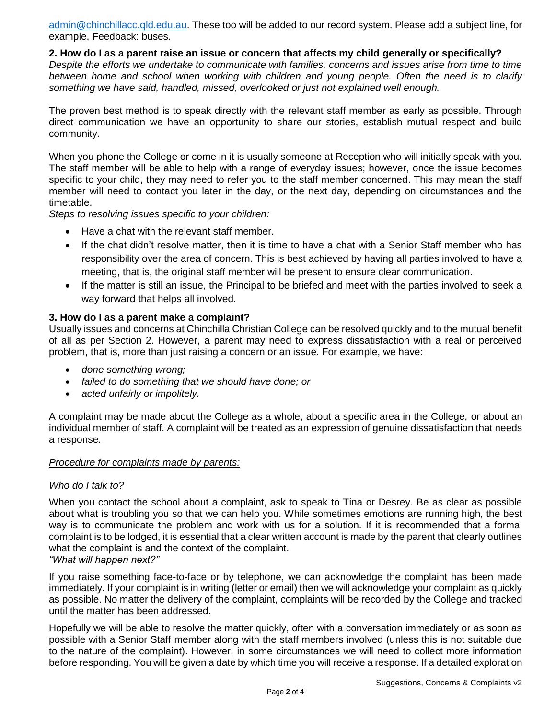[admin@chinchillacc.qld.edu.au.](mailto:admin@chinchillacc.qld.edu.au) These too will be added to our record system. Please add a subject line, for example, Feedback: buses.

#### **2. How do I as a parent raise an issue or concern that affects my child generally or specifically?**

*Despite the efforts we undertake to communicate with families, concerns and issues arise from time to time between home and school when working with children and young people. Often the need is to clarify something we have said, handled, missed, overlooked or just not explained well enough.*

The proven best method is to speak directly with the relevant staff member as early as possible. Through direct communication we have an opportunity to share our stories, establish mutual respect and build community.

When you phone the College or come in it is usually someone at Reception who will initially speak with you. The staff member will be able to help with a range of everyday issues; however, once the issue becomes specific to your child, they may need to refer you to the staff member concerned. This may mean the staff member will need to contact you later in the day, or the next day, depending on circumstances and the timetable.

*Steps to resolving issues specific to your children:*

- Have a chat with the relevant staff member.
- If the chat didn't resolve matter, then it is time to have a chat with a Senior Staff member who has responsibility over the area of concern. This is best achieved by having all parties involved to have a meeting, that is, the original staff member will be present to ensure clear communication.
- If the matter is still an issue, the Principal to be briefed and meet with the parties involved to seek a way forward that helps all involved.

## **3. How do I as a parent make a complaint?**

Usually issues and concerns at Chinchilla Christian College can be resolved quickly and to the mutual benefit of all as per Section 2. However, a parent may need to express dissatisfaction with a real or perceived problem, that is, more than just raising a concern or an issue. For example, we have:

- *done something wrong;*
- *failed to do something that we should have done; or*
- *acted unfairly or impolitely.*

A complaint may be made about the College as a whole, about a specific area in the College, or about an individual member of staff. A complaint will be treated as an expression of genuine dissatisfaction that needs a response.

#### *Procedure for complaints made by parents:*

## *Who do I talk to?*

When you contact the school about a complaint, ask to speak to Tina or Desrey. Be as clear as possible about what is troubling you so that we can help you. While sometimes emotions are running high, the best way is to communicate the problem and work with us for a solution. If it is recommended that a formal complaint is to be lodged, it is essential that a clear written account is made by the parent that clearly outlines what the complaint is and the context of the complaint. *"What will happen next?"*

If you raise something face-to-face or by telephone, we can acknowledge the complaint has been made immediately. If your complaint is in writing (letter or email) then we will acknowledge your complaint as quickly as possible. No matter the delivery of the complaint, complaints will be recorded by the College and tracked until the matter has been addressed.

Hopefully we will be able to resolve the matter quickly, often with a conversation immediately or as soon as possible with a Senior Staff member along with the staff members involved (unless this is not suitable due to the nature of the complaint). However, in some circumstances we will need to collect more information before responding. You will be given a date by which time you will receive a response. If a detailed exploration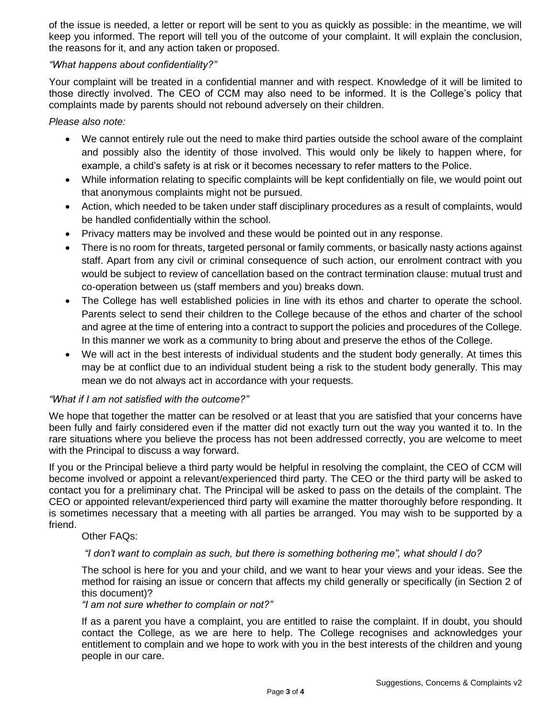of the issue is needed, a letter or report will be sent to you as quickly as possible: in the meantime, we will keep you informed. The report will tell you of the outcome of your complaint. It will explain the conclusion, the reasons for it, and any action taken or proposed.

## *"What happens about confidentiality?"*

Your complaint will be treated in a confidential manner and with respect. Knowledge of it will be limited to those directly involved. The CEO of CCM may also need to be informed. It is the College's policy that complaints made by parents should not rebound adversely on their children.

*Please also note:*

- We cannot entirely rule out the need to make third parties outside the school aware of the complaint and possibly also the identity of those involved. This would only be likely to happen where, for example, a child's safety is at risk or it becomes necessary to refer matters to the Police.
- While information relating to specific complaints will be kept confidentially on file, we would point out that anonymous complaints might not be pursued.
- Action, which needed to be taken under staff disciplinary procedures as a result of complaints, would be handled confidentially within the school.
- Privacy matters may be involved and these would be pointed out in any response.
- There is no room for threats, targeted personal or family comments, or basically nasty actions against staff. Apart from any civil or criminal consequence of such action, our enrolment contract with you would be subject to review of cancellation based on the contract termination clause: mutual trust and co-operation between us (staff members and you) breaks down.
- The College has well established policies in line with its ethos and charter to operate the school. Parents select to send their children to the College because of the ethos and charter of the school and agree at the time of entering into a contract to support the policies and procedures of the College. In this manner we work as a community to bring about and preserve the ethos of the College.
- We will act in the best interests of individual students and the student body generally. At times this may be at conflict due to an individual student being a risk to the student body generally. This may mean we do not always act in accordance with your requests.

## *"What if I am not satisfied with the outcome?"*

We hope that together the matter can be resolved or at least that you are satisfied that your concerns have been fully and fairly considered even if the matter did not exactly turn out the way you wanted it to. In the rare situations where you believe the process has not been addressed correctly, you are welcome to meet with the Principal to discuss a way forward.

If you or the Principal believe a third party would be helpful in resolving the complaint, the CEO of CCM will become involved or appoint a relevant/experienced third party. The CEO or the third party will be asked to contact you for a preliminary chat. The Principal will be asked to pass on the details of the complaint. The CEO or appointed relevant/experienced third party will examine the matter thoroughly before responding. It is sometimes necessary that a meeting with all parties be arranged. You may wish to be supported by a friend.

#### Other FAQs:

## *"I don't want to complain as such, but there is something bothering me", what should I do?*

The school is here for you and your child, and we want to hear your views and your ideas. See the method for raising an issue or concern that affects my child generally or specifically (in Section 2 of this document)?

*"I am not sure whether to complain or not?"*

If as a parent you have a complaint, you are entitled to raise the complaint. If in doubt, you should contact the College, as we are here to help. The College recognises and acknowledges your entitlement to complain and we hope to work with you in the best interests of the children and young people in our care.